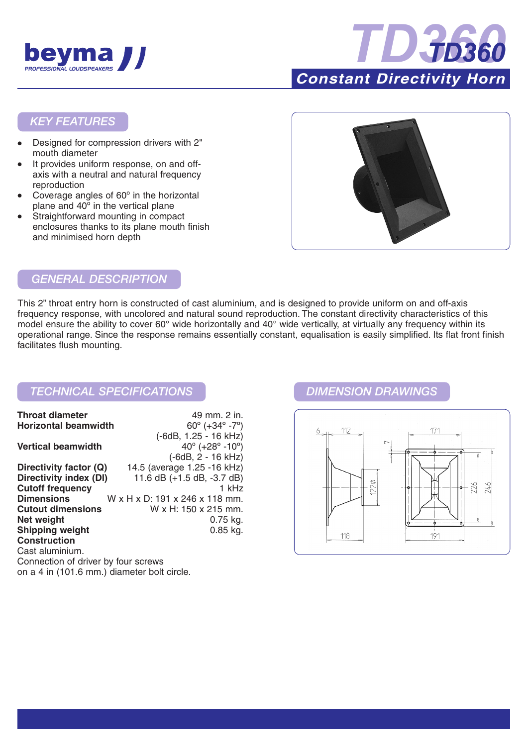



## *KEY FEATURES*

- Designed for compression drivers with 2" mouth diameter
- It provides uniform response, on and offaxis with a neutral and natural frequency reproduction
- Coverage angles of 60° in the horizontal plane and 40º in the vertical plane
- Straightforward mounting in compact enclosures thanks to its plane mouth finish and minimised horn depth



## *GENERAL DESCRIPTION*

This 2" throat entry horn is constructed of cast aluminium, and is designed to provide uniform on and off-axis frequency response, with uncolored and natural sound reproduction. The constant directivity characteristics of this model ensure the ability to cover 60° wide horizontally and 40° wide vertically, at virtually any frequency within its operational range. Since the response remains essentially constant, equalisation is easily simplified. Its flat front finish facilitates flush mounting.

## *TECHNICAL SPECIFICATIONS DIMENSION DRAWINGS*

| <b>Throat diameter</b>              | 49 mm. 2 in.                                  |
|-------------------------------------|-----------------------------------------------|
| <b>Horizontal beamwidth</b>         | $60^{\circ}$ (+34 $^{\circ}$ -7 $^{\circ}$ )  |
|                                     | (-6dB, 1.25 - 16 kHz)                         |
| <b>Vertical beamwidth</b>           | $40^{\circ}$ (+28 $^{\circ}$ -10 $^{\circ}$ ) |
|                                     | $(-6dB, 2 - 16 kHz)$                          |
| Directivity factor (Q)              | 14.5 (average 1.25 -16 kHz)                   |
| Directivity index (DI)              | 11.6 $dB (+1.5 dB, -3.7 dB)$                  |
| <b>Cutoff frequency</b>             | 1 kHz                                         |
| <b>Dimensions</b>                   | W x H x D: 191 x 246 x 118 mm.                |
| <b>Cutout dimensions</b>            | W x H: 150 x 215 mm.                          |
| Net weight                          | $0.75$ kg.                                    |
| <b>Shipping weight</b>              | $0.85$ kg.                                    |
| <b>Construction</b>                 |                                               |
| Cast aluminium.                     |                                               |
| Connection of driver by four screws |                                               |
|                                     |                                               |

on a 4 in (101.6 mm.) diameter bolt circle.